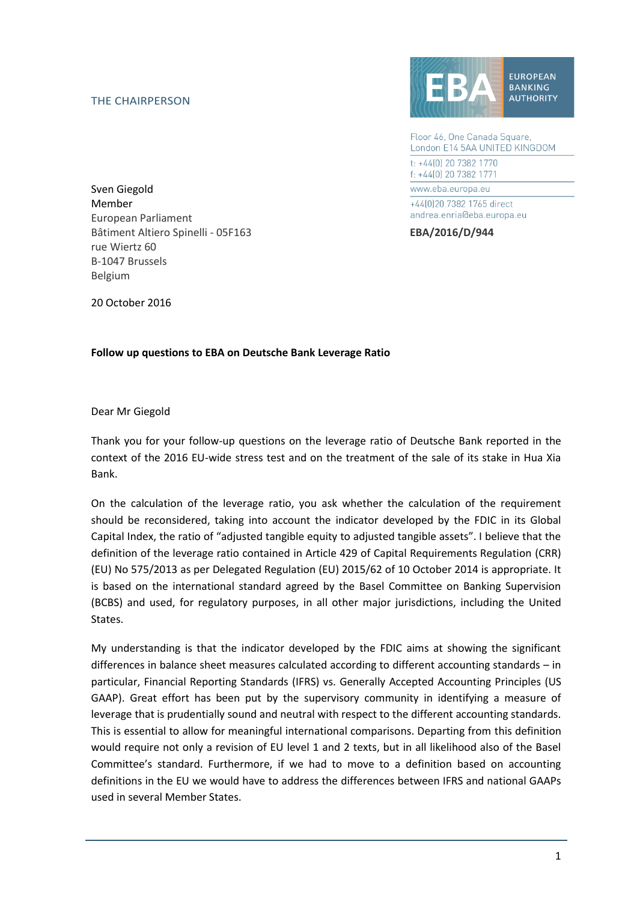## THE CHAIRPERSON



Floor 46, One Canada Square, London E14 5AA UNITED KINGDOM t: +44[0] 20 7382 1770 f: +44(0) 20 7382 1771 www.eba.europa.eu +44[0]20 7382 1765 direct andrea.enria@eba.europa.eu

Sven Giegold Member European Parliament Bâtiment Altiero Spinelli - 05F163 **EBA/2016/D/944** rue Wiertz 60 B-1047 Brussels Belgium

20 October 2016

## **Follow up questions to EBA on Deutsche Bank Leverage Ratio**

Dear Mr Giegold

Thank you for your follow-up questions on the leverage ratio of Deutsche Bank reported in the context of the 2016 EU-wide stress test and on the treatment of the sale of its stake in Hua Xia Bank.

On the calculation of the leverage ratio, you ask whether the calculation of the requirement should be reconsidered, taking into account the indicator developed by the FDIC in its Global Capital Index, the ratio of "adjusted tangible equity to adjusted tangible assets". I believe that the definition of the leverage ratio contained in Article 429 of Capital Requirements Regulation (CRR) (EU) No 575/2013 as per Delegated Regulation (EU) 2015/62 of 10 October 2014 is appropriate. It is based on the international standard agreed by the Basel Committee on Banking Supervision (BCBS) and used, for regulatory purposes, in all other major jurisdictions, including the United States.

My understanding is that the indicator developed by the FDIC aims at showing the significant differences in balance sheet measures calculated according to different accounting standards – in particular, Financial Reporting Standards (IFRS) vs. Generally Accepted Accounting Principles (US GAAP). Great effort has been put by the supervisory community in identifying a measure of leverage that is prudentially sound and neutral with respect to the different accounting standards. This is essential to allow for meaningful international comparisons. Departing from this definition would require not only a revision of EU level 1 and 2 texts, but in all likelihood also of the Basel Committee's standard. Furthermore, if we had to move to a definition based on accounting definitions in the EU we would have to address the differences between IFRS and national GAAPs used in several Member States.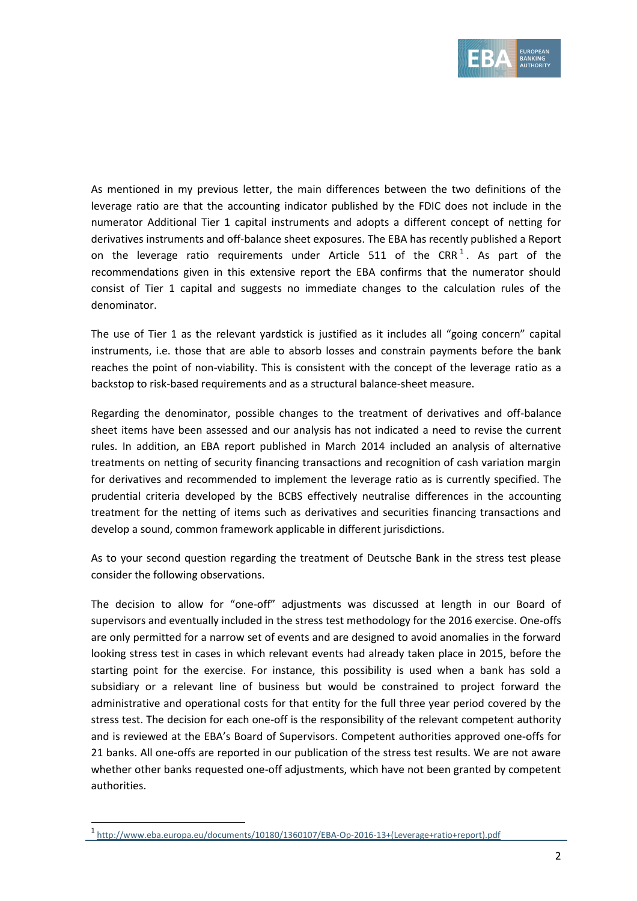

As mentioned in my previous letter, the main differences between the two definitions of the leverage ratio are that the accounting indicator published by the FDIC does not include in the numerator Additional Tier 1 capital instruments and adopts a different concept of netting for derivatives instruments and off-balance sheet exposures. The EBA has recently published a Report on the leverage ratio requirements under Article 511 of the CRR<sup>1</sup>. As part of the recommendations given in this extensive report the EBA confirms that the numerator should consist of Tier 1 capital and suggests no immediate changes to the calculation rules of the denominator.

The use of Tier 1 as the relevant yardstick is justified as it includes all "going concern" capital instruments, i.e. those that are able to absorb losses and constrain payments before the bank reaches the point of non-viability. This is consistent with the concept of the leverage ratio as a backstop to risk-based requirements and as a structural balance-sheet measure.

Regarding the denominator, possible changes to the treatment of derivatives and off-balance sheet items have been assessed and our analysis has not indicated a need to revise the current rules. In addition, an EBA report published in March 2014 included an analysis of alternative treatments on netting of security financing transactions and recognition of cash variation margin for derivatives and recommended to implement the leverage ratio as is currently specified. The prudential criteria developed by the BCBS effectively neutralise differences in the accounting treatment for the netting of items such as derivatives and securities financing transactions and develop a sound, common framework applicable in different jurisdictions.

As to your second question regarding the treatment of Deutsche Bank in the stress test please consider the following observations.

The decision to allow for "one-off" adjustments was discussed at length in our Board of supervisors and eventually included in the stress test methodology for the 2016 exercise. One-offs are only permitted for a narrow set of events and are designed to avoid anomalies in the forward looking stress test in cases in which relevant events had already taken place in 2015, before the starting point for the exercise. For instance, this possibility is used when a bank has sold a subsidiary or a relevant line of business but would be constrained to project forward the administrative and operational costs for that entity for the full three year period covered by the stress test. The decision for each one-off is the responsibility of the relevant competent authority and is reviewed at the EBA's Board of Supervisors. Competent authorities approved one-offs for 21 banks. All one-offs are reported in our publication of the stress test results. We are not aware whether other banks requested one-off adjustments, which have not been granted by competent authorities.

1

<sup>1</sup> [http://www.eba.europa.eu/documents/10180/1360107/EBA-Op-2016-13+\(Leverage+ratio+report\).pdf](http://www.eba.europa.eu/documents/10180/1360107/EBA-Op-2016-13+(Leverage+ratio+report).pdf)